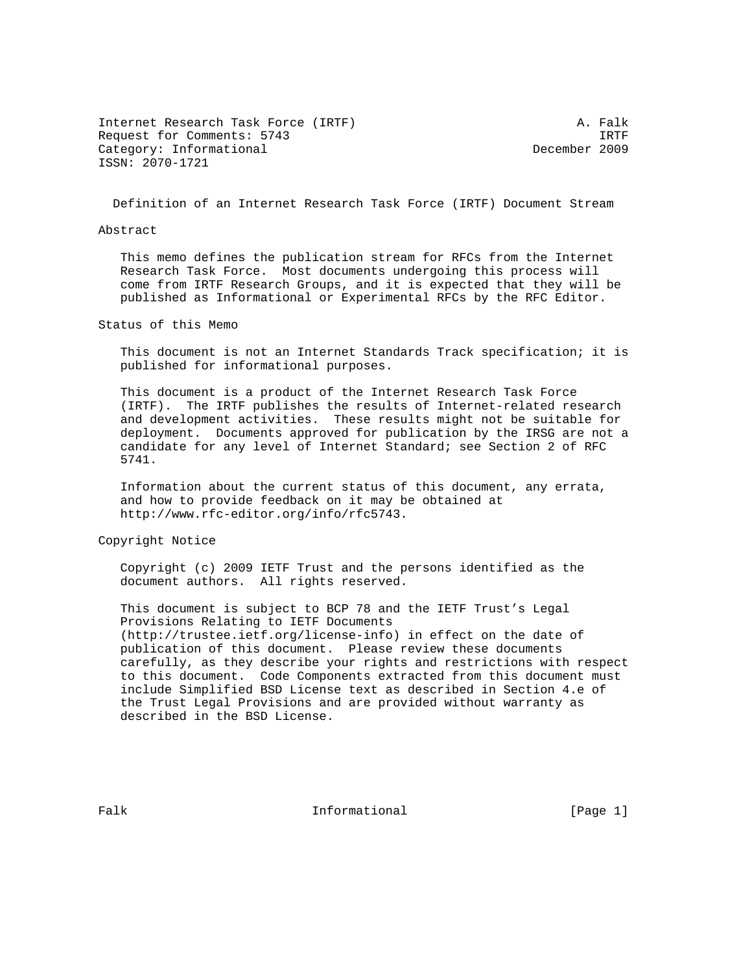Internet Research Task Force (IRTF) A. Falk Request for Comments: 5743 IRTF<br>Category: Informational example: 1909 IRTF Category: Informational ISSN: 2070-1721

Definition of an Internet Research Task Force (IRTF) Document Stream

#### Abstract

 This memo defines the publication stream for RFCs from the Internet Research Task Force. Most documents undergoing this process will come from IRTF Research Groups, and it is expected that they will be published as Informational or Experimental RFCs by the RFC Editor.

Status of this Memo

 This document is not an Internet Standards Track specification; it is published for informational purposes.

 This document is a product of the Internet Research Task Force (IRTF). The IRTF publishes the results of Internet-related research and development activities. These results might not be suitable for deployment. Documents approved for publication by the IRSG are not a candidate for any level of Internet Standard; see Section 2 of RFC 5741.

 Information about the current status of this document, any errata, and how to provide feedback on it may be obtained at http://www.rfc-editor.org/info/rfc5743.

Copyright Notice

 Copyright (c) 2009 IETF Trust and the persons identified as the document authors. All rights reserved.

 This document is subject to BCP 78 and the IETF Trust's Legal Provisions Relating to IETF Documents (http://trustee.ietf.org/license-info) in effect on the date of publication of this document. Please review these documents carefully, as they describe your rights and restrictions with respect to this document. Code Components extracted from this document must include Simplified BSD License text as described in Section 4.e of the Trust Legal Provisions and are provided without warranty as described in the BSD License.

Falk **Informational** Informational [Page 1]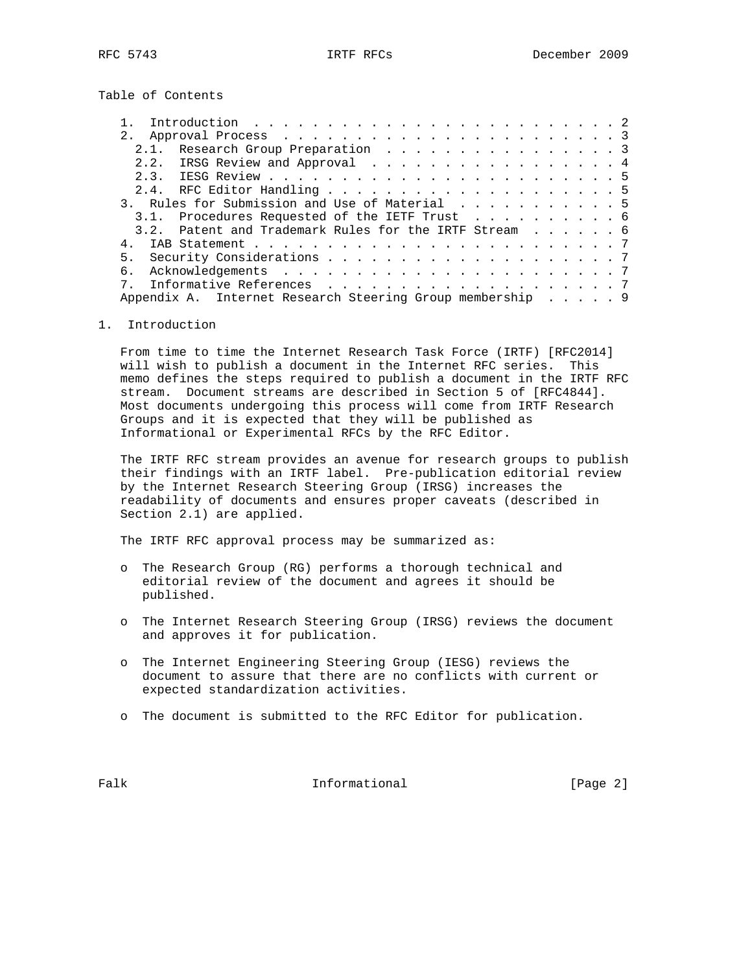Table of Contents

| 2.1. Research Group Preparation 3                         |  |  |  |
|-----------------------------------------------------------|--|--|--|
| 2.2. IRSG Review and Approval 4                           |  |  |  |
|                                                           |  |  |  |
|                                                           |  |  |  |
| 3. Rules for Submission and Use of Material 5             |  |  |  |
| 3.1. Procedures Requested of the IETF Trust 6             |  |  |  |
| 3.2. Patent and Trademark Rules for the IRTF Stream 6     |  |  |  |
|                                                           |  |  |  |
|                                                           |  |  |  |
| б.                                                        |  |  |  |
|                                                           |  |  |  |
| Appendix A. Internet Research Steering Group membership 9 |  |  |  |

## 1. Introduction

 From time to time the Internet Research Task Force (IRTF) [RFC2014] will wish to publish a document in the Internet RFC series. This memo defines the steps required to publish a document in the IRTF RFC stream. Document streams are described in Section 5 of [RFC4844]. Most documents undergoing this process will come from IRTF Research Groups and it is expected that they will be published as Informational or Experimental RFCs by the RFC Editor.

 The IRTF RFC stream provides an avenue for research groups to publish their findings with an IRTF label. Pre-publication editorial review by the Internet Research Steering Group (IRSG) increases the readability of documents and ensures proper caveats (described in Section 2.1) are applied.

The IRTF RFC approval process may be summarized as:

- o The Research Group (RG) performs a thorough technical and editorial review of the document and agrees it should be published.
- o The Internet Research Steering Group (IRSG) reviews the document and approves it for publication.
- o The Internet Engineering Steering Group (IESG) reviews the document to assure that there are no conflicts with current or expected standardization activities.
- o The document is submitted to the RFC Editor for publication.

Falk **Informational Informational** [Page 2]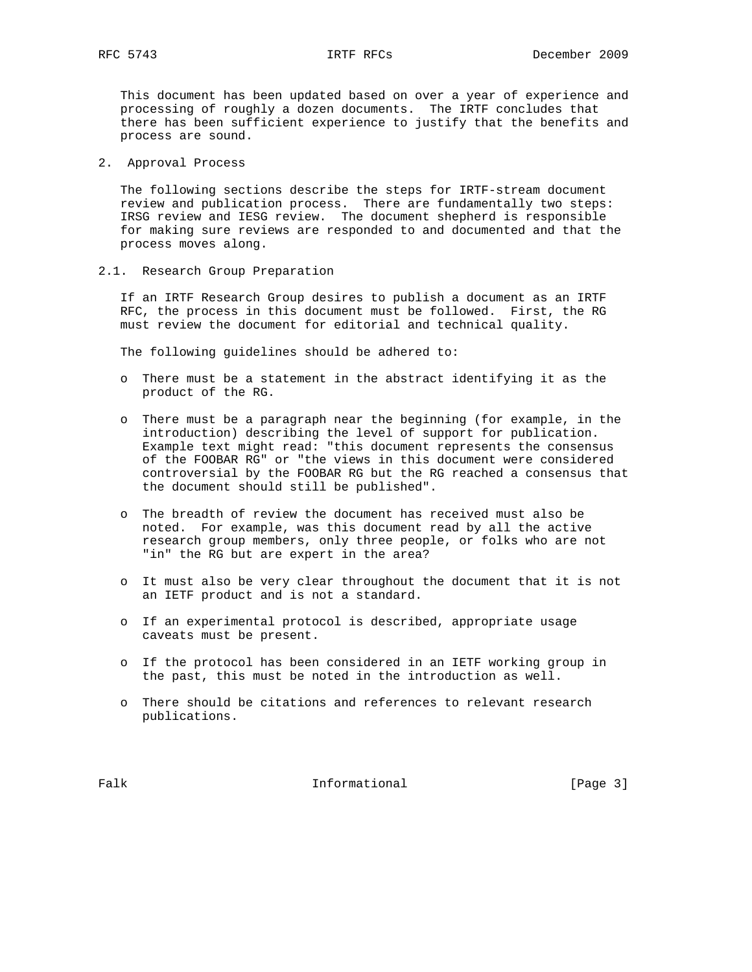This document has been updated based on over a year of experience and processing of roughly a dozen documents. The IRTF concludes that there has been sufficient experience to justify that the benefits and process are sound.

2. Approval Process

 The following sections describe the steps for IRTF-stream document review and publication process. There are fundamentally two steps: IRSG review and IESG review. The document shepherd is responsible for making sure reviews are responded to and documented and that the process moves along.

2.1. Research Group Preparation

 If an IRTF Research Group desires to publish a document as an IRTF RFC, the process in this document must be followed. First, the RG must review the document for editorial and technical quality.

The following guidelines should be adhered to:

- o There must be a statement in the abstract identifying it as the product of the RG.
- o There must be a paragraph near the beginning (for example, in the introduction) describing the level of support for publication. Example text might read: "this document represents the consensus of the FOOBAR RG" or "the views in this document were considered controversial by the FOOBAR RG but the RG reached a consensus that the document should still be published".
- o The breadth of review the document has received must also be noted. For example, was this document read by all the active research group members, only three people, or folks who are not "in" the RG but are expert in the area?
- o It must also be very clear throughout the document that it is not an IETF product and is not a standard.
- o If an experimental protocol is described, appropriate usage caveats must be present.
- o If the protocol has been considered in an IETF working group in the past, this must be noted in the introduction as well.
- o There should be citations and references to relevant research publications.

Falk **Informational** Informational [Page 3]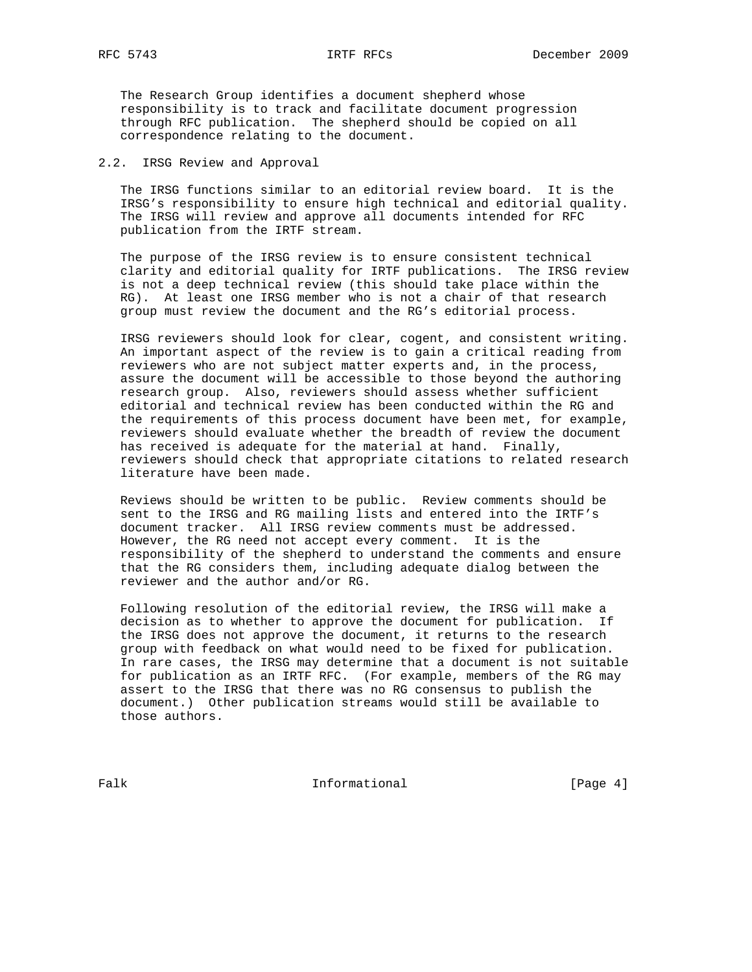The Research Group identifies a document shepherd whose responsibility is to track and facilitate document progression through RFC publication. The shepherd should be copied on all correspondence relating to the document.

2.2. IRSG Review and Approval

 The IRSG functions similar to an editorial review board. It is the IRSG's responsibility to ensure high technical and editorial quality. The IRSG will review and approve all documents intended for RFC publication from the IRTF stream.

 The purpose of the IRSG review is to ensure consistent technical clarity and editorial quality for IRTF publications. The IRSG review is not a deep technical review (this should take place within the RG). At least one IRSG member who is not a chair of that research group must review the document and the RG's editorial process.

 IRSG reviewers should look for clear, cogent, and consistent writing. An important aspect of the review is to gain a critical reading from reviewers who are not subject matter experts and, in the process, assure the document will be accessible to those beyond the authoring research group. Also, reviewers should assess whether sufficient editorial and technical review has been conducted within the RG and the requirements of this process document have been met, for example, reviewers should evaluate whether the breadth of review the document has received is adequate for the material at hand. Finally, reviewers should check that appropriate citations to related research literature have been made.

 Reviews should be written to be public. Review comments should be sent to the IRSG and RG mailing lists and entered into the IRTF's document tracker. All IRSG review comments must be addressed. However, the RG need not accept every comment. It is the responsibility of the shepherd to understand the comments and ensure that the RG considers them, including adequate dialog between the reviewer and the author and/or RG.

 Following resolution of the editorial review, the IRSG will make a decision as to whether to approve the document for publication. If the IRSG does not approve the document, it returns to the research group with feedback on what would need to be fixed for publication. In rare cases, the IRSG may determine that a document is not suitable for publication as an IRTF RFC. (For example, members of the RG may assert to the IRSG that there was no RG consensus to publish the document.) Other publication streams would still be available to those authors.

Falk **Informational Informational** [Page 4]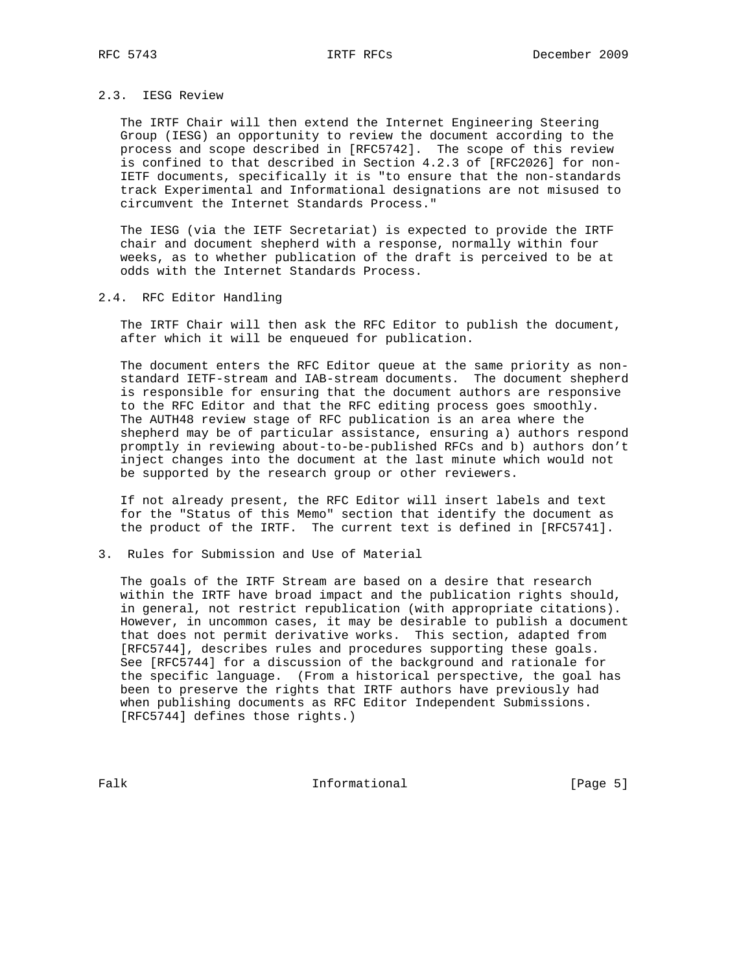# 2.3. IESG Review

 The IRTF Chair will then extend the Internet Engineering Steering Group (IESG) an opportunity to review the document according to the process and scope described in [RFC5742]. The scope of this review is confined to that described in Section 4.2.3 of [RFC2026] for non- IETF documents, specifically it is "to ensure that the non-standards track Experimental and Informational designations are not misused to circumvent the Internet Standards Process."

 The IESG (via the IETF Secretariat) is expected to provide the IRTF chair and document shepherd with a response, normally within four weeks, as to whether publication of the draft is perceived to be at odds with the Internet Standards Process.

### 2.4. RFC Editor Handling

 The IRTF Chair will then ask the RFC Editor to publish the document, after which it will be enqueued for publication.

 The document enters the RFC Editor queue at the same priority as non standard IETF-stream and IAB-stream documents. The document shepherd is responsible for ensuring that the document authors are responsive to the RFC Editor and that the RFC editing process goes smoothly. The AUTH48 review stage of RFC publication is an area where the shepherd may be of particular assistance, ensuring a) authors respond promptly in reviewing about-to-be-published RFCs and b) authors don't inject changes into the document at the last minute which would not be supported by the research group or other reviewers.

 If not already present, the RFC Editor will insert labels and text for the "Status of this Memo" section that identify the document as the product of the IRTF. The current text is defined in [RFC5741].

### 3. Rules for Submission and Use of Material

 The goals of the IRTF Stream are based on a desire that research within the IRTF have broad impact and the publication rights should, in general, not restrict republication (with appropriate citations). However, in uncommon cases, it may be desirable to publish a document that does not permit derivative works. This section, adapted from [RFC5744], describes rules and procedures supporting these goals. See [RFC5744] for a discussion of the background and rationale for the specific language. (From a historical perspective, the goal has been to preserve the rights that IRTF authors have previously had when publishing documents as RFC Editor Independent Submissions. [RFC5744] defines those rights.)

Falk **Informational Informational** [Page 5]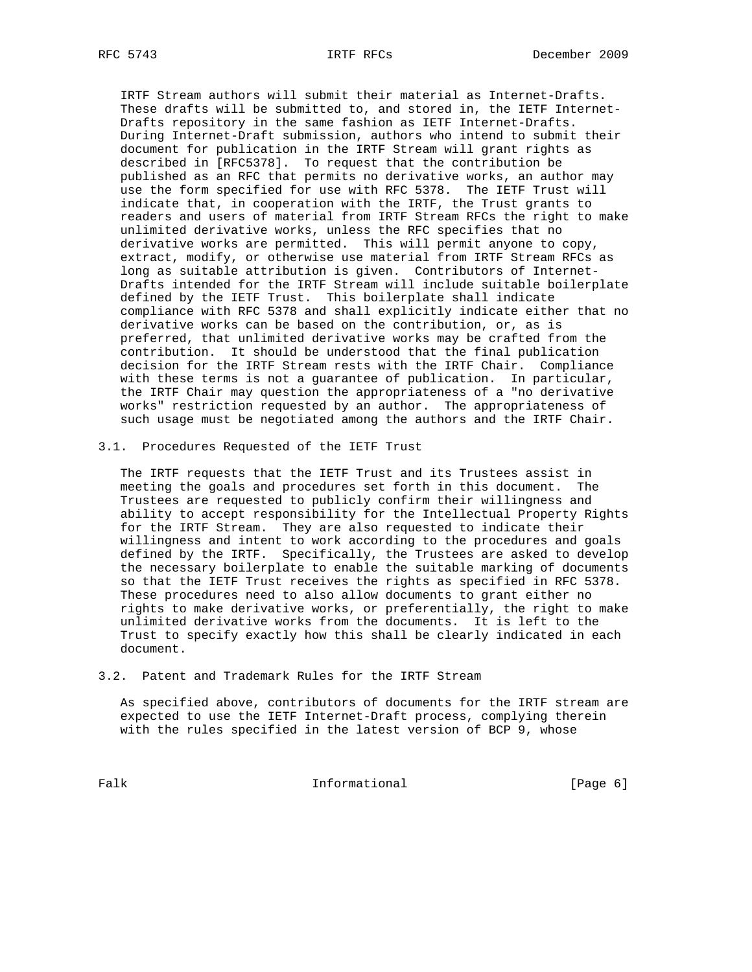IRTF Stream authors will submit their material as Internet-Drafts. These drafts will be submitted to, and stored in, the IETF Internet- Drafts repository in the same fashion as IETF Internet-Drafts. During Internet-Draft submission, authors who intend to submit their document for publication in the IRTF Stream will grant rights as described in [RFC5378]. To request that the contribution be published as an RFC that permits no derivative works, an author may use the form specified for use with RFC 5378. The IETF Trust will indicate that, in cooperation with the IRTF, the Trust grants to readers and users of material from IRTF Stream RFCs the right to make unlimited derivative works, unless the RFC specifies that no derivative works are permitted. This will permit anyone to copy, extract, modify, or otherwise use material from IRTF Stream RFCs as long as suitable attribution is given. Contributors of Internet- Drafts intended for the IRTF Stream will include suitable boilerplate defined by the IETF Trust. This boilerplate shall indicate compliance with RFC 5378 and shall explicitly indicate either that no derivative works can be based on the contribution, or, as is preferred, that unlimited derivative works may be crafted from the contribution. It should be understood that the final publication decision for the IRTF Stream rests with the IRTF Chair. Compliance with these terms is not a guarantee of publication. In particular, the IRTF Chair may question the appropriateness of a "no derivative works" restriction requested by an author. The appropriateness of such usage must be negotiated among the authors and the IRTF Chair.

3.1. Procedures Requested of the IETF Trust

 The IRTF requests that the IETF Trust and its Trustees assist in meeting the goals and procedures set forth in this document. The Trustees are requested to publicly confirm their willingness and ability to accept responsibility for the Intellectual Property Rights for the IRTF Stream. They are also requested to indicate their willingness and intent to work according to the procedures and goals defined by the IRTF. Specifically, the Trustees are asked to develop the necessary boilerplate to enable the suitable marking of documents so that the IETF Trust receives the rights as specified in RFC 5378. These procedures need to also allow documents to grant either no rights to make derivative works, or preferentially, the right to make unlimited derivative works from the documents. It is left to the Trust to specify exactly how this shall be clearly indicated in each document.

3.2. Patent and Trademark Rules for the IRTF Stream

 As specified above, contributors of documents for the IRTF stream are expected to use the IETF Internet-Draft process, complying therein with the rules specified in the latest version of BCP 9, whose

Falk Informational [Page 6]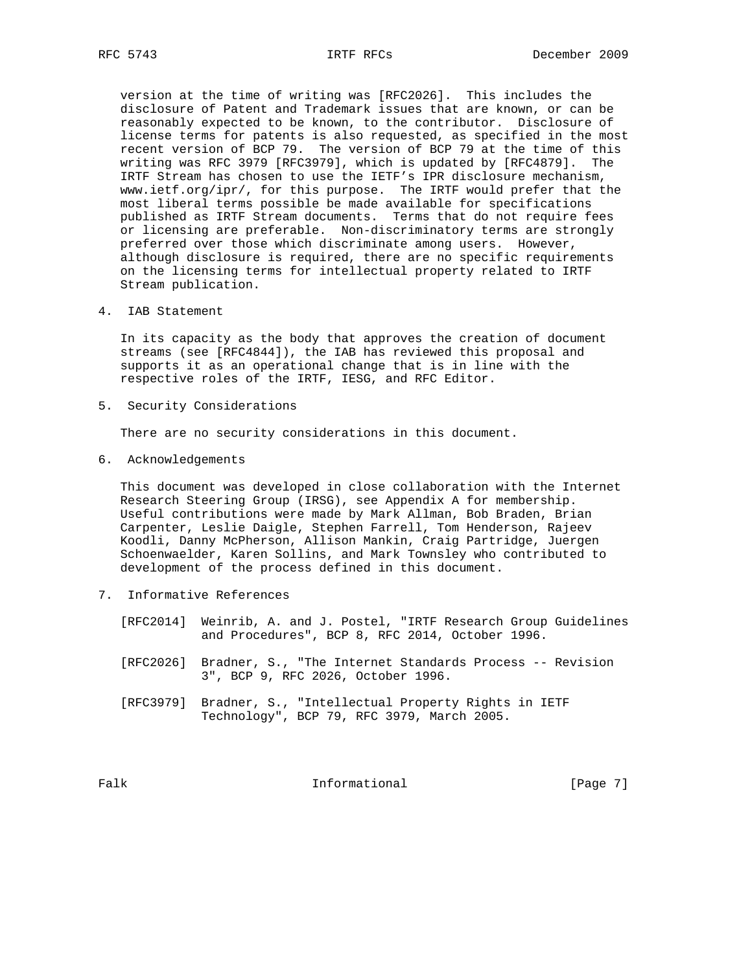version at the time of writing was [RFC2026]. This includes the disclosure of Patent and Trademark issues that are known, or can be reasonably expected to be known, to the contributor. Disclosure of license terms for patents is also requested, as specified in the most recent version of BCP 79. The version of BCP 79 at the time of this writing was RFC 3979 [RFC3979], which is updated by [RFC4879]. The IRTF Stream has chosen to use the IETF's IPR disclosure mechanism, www.ietf.org/ipr/, for this purpose. The IRTF would prefer that the most liberal terms possible be made available for specifications published as IRTF Stream documents. Terms that do not require fees or licensing are preferable. Non-discriminatory terms are strongly preferred over those which discriminate among users. However, although disclosure is required, there are no specific requirements on the licensing terms for intellectual property related to IRTF Stream publication.

4. IAB Statement

 In its capacity as the body that approves the creation of document streams (see [RFC4844]), the IAB has reviewed this proposal and supports it as an operational change that is in line with the respective roles of the IRTF, IESG, and RFC Editor.

5. Security Considerations

There are no security considerations in this document.

6. Acknowledgements

 This document was developed in close collaboration with the Internet Research Steering Group (IRSG), see Appendix A for membership. Useful contributions were made by Mark Allman, Bob Braden, Brian Carpenter, Leslie Daigle, Stephen Farrell, Tom Henderson, Rajeev Koodli, Danny McPherson, Allison Mankin, Craig Partridge, Juergen Schoenwaelder, Karen Sollins, and Mark Townsley who contributed to development of the process defined in this document.

7. Informative References

 [RFC2014] Weinrib, A. and J. Postel, "IRTF Research Group Guidelines and Procedures", BCP 8, RFC 2014, October 1996.

- [RFC2026] Bradner, S., "The Internet Standards Process -- Revision 3", BCP 9, RFC 2026, October 1996.
- [RFC3979] Bradner, S., "Intellectual Property Rights in IETF Technology", BCP 79, RFC 3979, March 2005.

Falk **Informational** Informational [Page 7]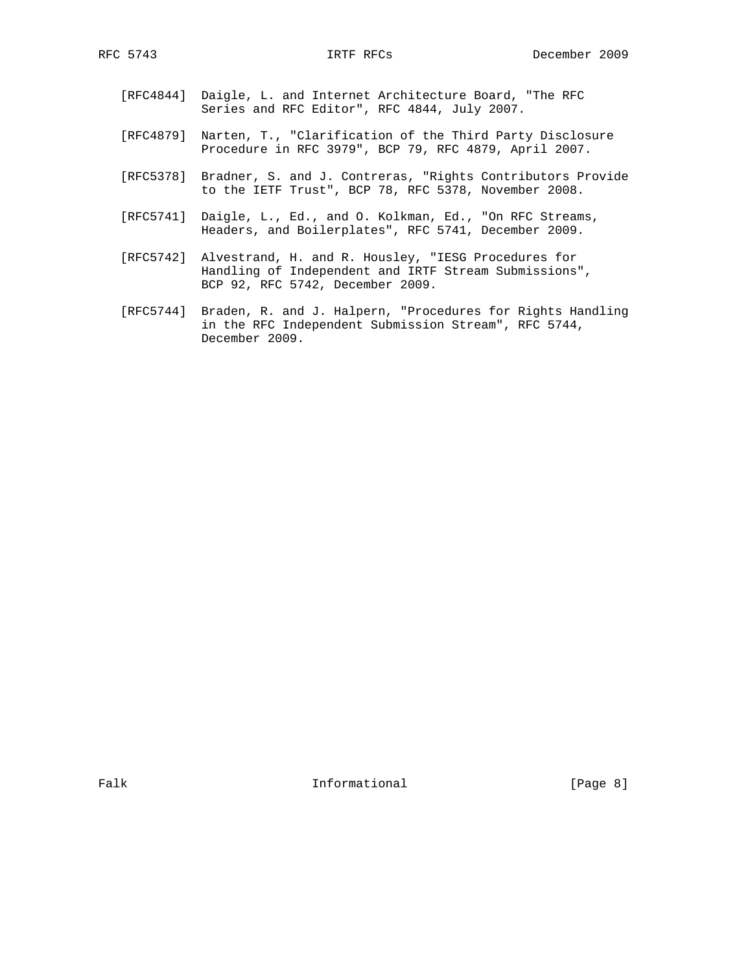- [RFC4844] Daigle, L. and Internet Architecture Board, "The RFC Series and RFC Editor", RFC 4844, July 2007.
- [RFC4879] Narten, T., "Clarification of the Third Party Disclosure Procedure in RFC 3979", BCP 79, RFC 4879, April 2007.
- [RFC5378] Bradner, S. and J. Contreras, "Rights Contributors Provide to the IETF Trust", BCP 78, RFC 5378, November 2008.
- [RFC5741] Daigle, L., Ed., and O. Kolkman, Ed., "On RFC Streams, Headers, and Boilerplates", RFC 5741, December 2009.
- [RFC5742] Alvestrand, H. and R. Housley, "IESG Procedures for Handling of Independent and IRTF Stream Submissions", BCP 92, RFC 5742, December 2009.
- [RFC5744] Braden, R. and J. Halpern, "Procedures for Rights Handling in the RFC Independent Submission Stream", RFC 5744, December 2009.

Falk **Informational** Informational [Page 8]